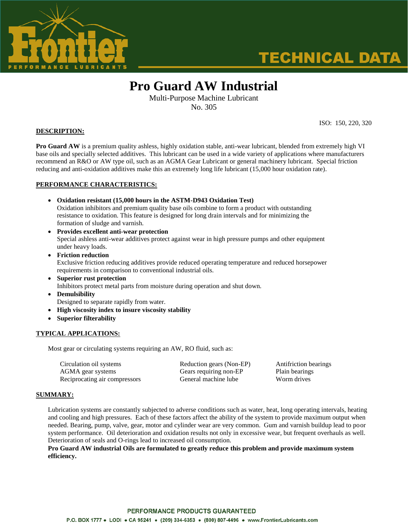

# **TECHNICAL DATA**

## **Pro Guard AW Industrial**

Multi-Purpose Machine Lubricant No. 305

**DESCRIPTION:**

ISO: 150, 220, 320

**Pro Guard AW** is a premium quality ashless, highly oxidation stable, anti-wear lubricant, blended from extremely high VI base oils and specially selected additives. This lubricant can be used in a wide variety of applications where manufacturers recommend an R&O or AW type oil, such as an AGMA Gear Lubricant or general machinery lubricant. Special friction reducing and anti-oxidation additives make this an extremely long life lubricant (15,000 hour oxidation rate).

#### **PERFORMANCE CHARACTERISTICS:**

- **Oxidation resistant (15,000 hours in the ASTM-D943 Oxidation Test)** Oxidation inhibitors and premium quality base oils combine to form a product with outstanding resistance to oxidation. This feature is designed for long drain intervals and for minimizing the formation of sludge and varnish.
- **Provides excellent anti-wear protection** Special ashless anti-wear additives protect against wear in high pressure pumps and other equipment under heavy loads.
- **Friction reduction** Exclusive friction reducing additives provide reduced operating temperature and reduced horsepower requirements in comparison to conventional industrial oils.
- **Superior rust protection** Inhibitors protect metal parts from moisture during operation and shut down.
- **Demulsibility** Designed to separate rapidly from water.
- **High viscosity index to insure viscosity stability**
- **Superior filterability**

#### **TYPICAL APPLICATIONS:**

Most gear or circulating systems requiring an AW, RO fluid, such as:

Circulation oil systems Reduction gears (Non-EP) Antifriction bearings AGMA gear systems Gears requiring non-EP Plain bearings Reciprocating air compressors General machine lube Worm drives

#### **SUMMARY:**

Lubrication systems are constantly subjected to adverse conditions such as water, heat, long operating intervals, heating and cooling and high pressures. Each of these factors affect the ability of the system to provide maximum output when needed. Bearing, pump, valve, gear, motor and cylinder wear are very common. Gum and varnish buildup lead to poor system performance. Oil deterioration and oxidation results not only in excessive wear, but frequent overhauls as well. Deterioration of seals and O-rings lead to increased oil consumption.

**Pro Guard AW industrial Oils are formulated to greatly reduce this problem and provide maximum system efficiency.**